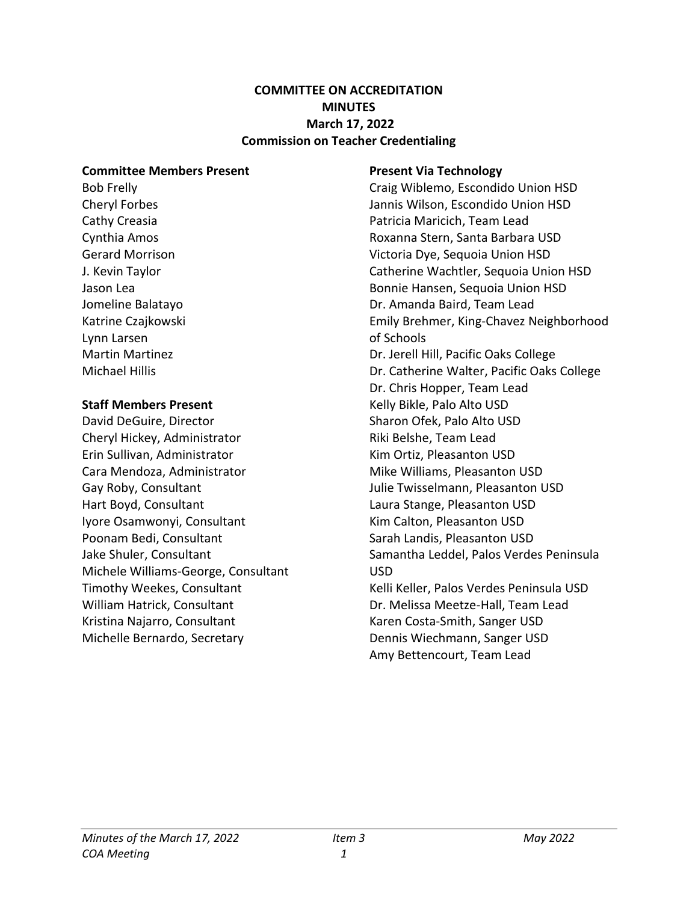#### **COMMITTEE ON ACCREDITATION MINUTES March 17, 2022 Commission on Teacher Credentialing**

#### **Committee Members Present**

Bob Frelly Cheryl Forbes Cathy Creasia Cynthia Amos Gerard Morrison J. Kevin Taylor Jason Lea Jomeline Balatayo Katrine Czajkowski Lynn Larsen Martin Martinez Michael Hillis

#### **Staff Members Present**

David DeGuire, Director Cheryl Hickey, Administrator Erin Sullivan, Administrator Cara Mendoza, Administrator Gay Roby, Consultant Hart Boyd, Consultant Iyore Osamwonyi, Consultant Poonam Bedi, Consultant Jake Shuler, Consultant Michele Williams-George, Consultant Timothy Weekes, Consultant William Hatrick, Consultant Kristina Najarro, Consultant Michelle Bernardo, Secretary

#### **Present Via Technology**

Craig Wiblemo, Escondido Union HSD Jannis Wilson, Escondido Union HSD Patricia Maricich, Team Lead Roxanna Stern, Santa Barbara USD Victoria Dye, Sequoia Union HSD Catherine Wachtler, Sequoia Union HSD Bonnie Hansen, Sequoia Union HSD Dr. Amanda Baird, Team Lead Emily Brehmer, King-Chavez Neighborhood of Schools Dr. Jerell Hill, Pacific Oaks College Dr. Catherine Walter, Pacific Oaks College Dr. Chris Hopper, Team Lead Kelly Bikle, Palo Alto USD Sharon Ofek, Palo Alto USD Riki Belshe, Team Lead Kim Ortiz, Pleasanton USD Mike Williams, Pleasanton USD Julie Twisselmann, Pleasanton USD Laura Stange, Pleasanton USD Kim Calton, Pleasanton USD Sarah Landis, Pleasanton USD Samantha Leddel, Palos Verdes Peninsula USD Kelli Keller, Palos Verdes Peninsula USD Dr. Melissa Meetze-Hall, Team Lead Karen Costa-Smith, Sanger USD Dennis Wiechmann, Sanger USD Amy Bettencourt, Team Lead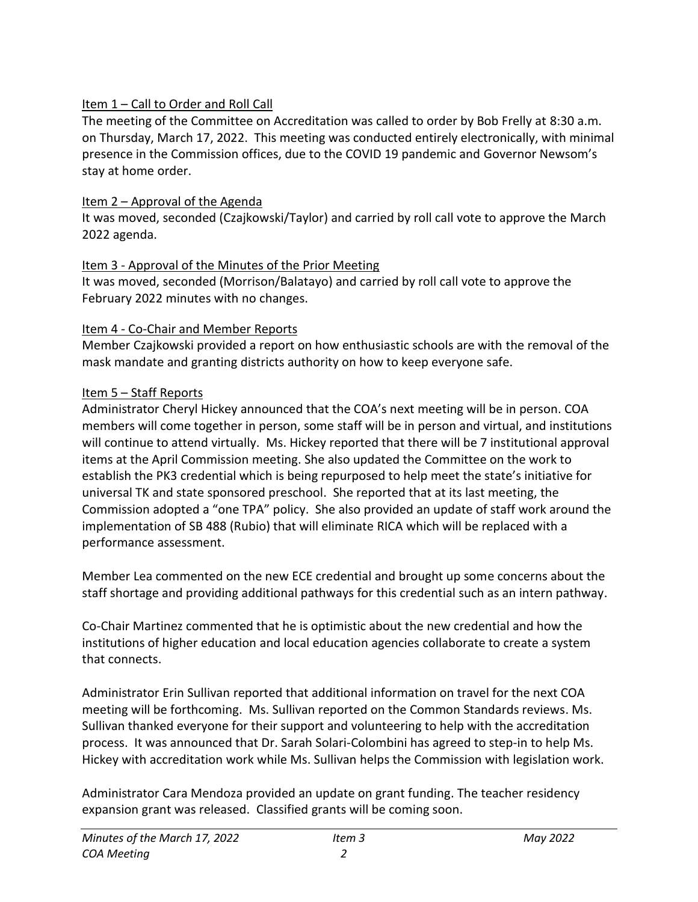## Item 1 – Call to Order and Roll Call

The meeting of the Committee on Accreditation was called to order by Bob Frelly at 8:30 a.m. on Thursday, March 17, 2022. This meeting was conducted entirely electronically, with minimal presence in the Commission offices, due to the COVID 19 pandemic and Governor Newsom's stay at home order.

## Item 2 – Approval of the Agenda

It was moved, seconded (Czajkowski/Taylor) and carried by roll call vote to approve the March 2022 agenda.

## Item 3 - Approval of the Minutes of the Prior Meeting

It was moved, seconded (Morrison/Balatayo) and carried by roll call vote to approve the February 2022 minutes with no changes.

## Item 4 - Co-Chair and Member Reports

Member Czajkowski provided a report on how enthusiastic schools are with the removal of the mask mandate and granting districts authority on how to keep everyone safe.

## Item 5 – Staff Reports

Administrator Cheryl Hickey announced that the COA's next meeting will be in person. COA members will come together in person, some staff will be in person and virtual, and institutions will continue to attend virtually. Ms. Hickey reported that there will be 7 institutional approval items at the April Commission meeting. She also updated the Committee on the work to establish the PK3 credential which is being repurposed to help meet the state's initiative for universal TK and state sponsored preschool. She reported that at its last meeting, the Commission adopted a "one TPA" policy. She also provided an update of staff work around the implementation of SB 488 (Rubio) that will eliminate RICA which will be replaced with a performance assessment.

Member Lea commented on the new ECE credential and brought up some concerns about the staff shortage and providing additional pathways for this credential such as an intern pathway.

Co-Chair Martinez commented that he is optimistic about the new credential and how the institutions of higher education and local education agencies collaborate to create a system that connects.

Administrator Erin Sullivan reported that additional information on travel for the next COA meeting will be forthcoming. Ms. Sullivan reported on the Common Standards reviews. Ms. Sullivan thanked everyone for their support and volunteering to help with the accreditation process. It was announced that Dr. Sarah Solari-Colombini has agreed to step-in to help Ms. Hickey with accreditation work while Ms. Sullivan helps the Commission with legislation work.

Administrator Cara Mendoza provided an update on grant funding. The teacher residency expansion grant was released. Classified grants will be coming soon.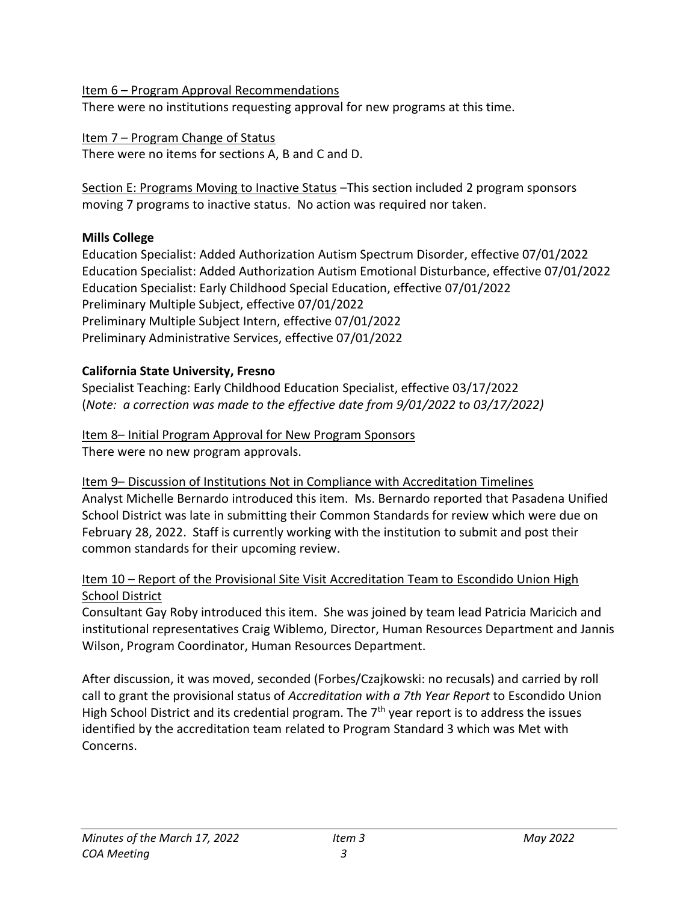Item 6 – Program Approval Recommendations There were no institutions requesting approval for new programs at this time.

Item 7 – Program Change of Status There were no items for sections A, B and C and D.

Section E: Programs Moving to Inactive Status - This section included 2 program sponsors moving 7 programs to inactive status. No action was required nor taken.

# **Mills College**

Education Specialist: Added Authorization Autism Spectrum Disorder, effective 07/01/2022 Education Specialist: Added Authorization Autism Emotional Disturbance, effective 07/01/2022 Education Specialist: Early Childhood Special Education, effective 07/01/2022 Preliminary Multiple Subject, effective 07/01/2022 Preliminary Multiple Subject Intern, effective 07/01/2022 Preliminary Administrative Services, effective 07/01/2022

# **California State University, Fresno**

Specialist Teaching: Early Childhood Education Specialist, effective 03/17/2022 (*Note: a correction was made to the effective date from 9/01/2022 to 03/17/2022)*

### Item 8– Initial Program Approval for New Program Sponsors There were no new program approvals.

Item 9– Discussion of Institutions Not in Compliance with Accreditation Timelines Analyst Michelle Bernardo introduced this item. Ms. Bernardo reported that Pasadena Unified School District was late in submitting their Common Standards for review which were due on February 28, 2022. Staff is currently working with the institution to submit and post their common standards for their upcoming review.

## Item 10 – Report of the Provisional Site Visit Accreditation Team to Escondido Union High School District

Consultant Gay Roby introduced this item. She was joined by team lead Patricia Maricich and institutional representatives Craig Wiblemo, Director, Human Resources Department and Jannis Wilson, Program Coordinator, Human Resources Department.

After discussion, it was moved, seconded (Forbes/Czajkowski: no recusals) and carried by roll call to grant the provisional status of *Accreditation with a 7th Year Report* to Escondido Union High School District and its credential program. The  $7<sup>th</sup>$  year report is to address the issues identified by the accreditation team related to Program Standard 3 which was Met with Concerns.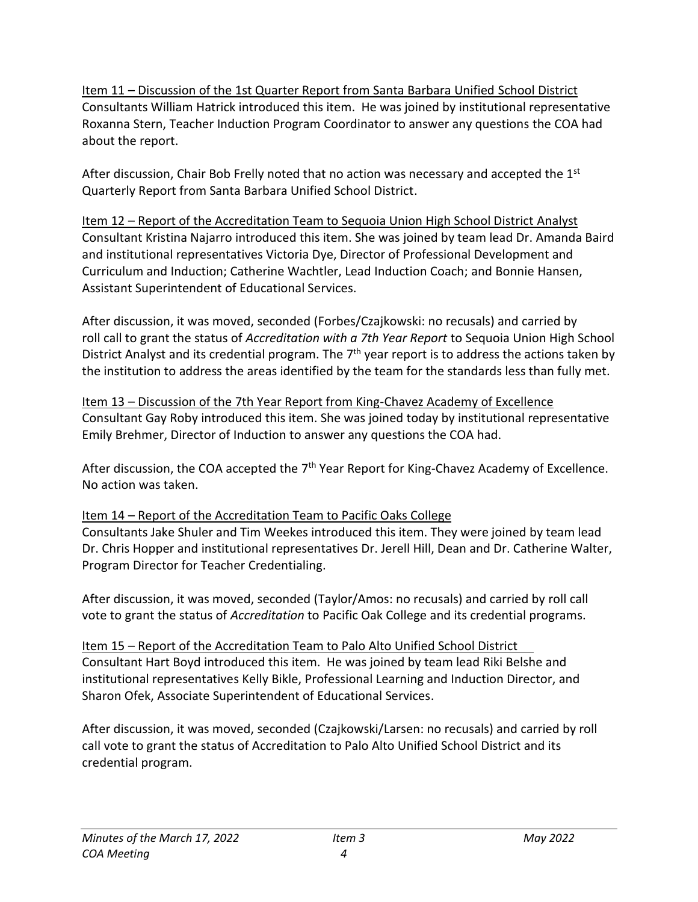Item 11 – Discussion of the 1st Quarter Report from Santa Barbara Unified School District Consultants William Hatrick introduced this item. He was joined by institutional representative Roxanna Stern, Teacher Induction Program Coordinator to answer any questions the COA had about the report.

After discussion, Chair Bob Frelly noted that no action was necessary and accepted the  $1<sup>st</sup>$ Quarterly Report from Santa Barbara Unified School District.

Item 12 – Report of the Accreditation Team to Sequoia Union High School District Analyst Consultant Kristina Najarro introduced this item. She was joined by team lead Dr. Amanda Baird and institutional representatives Victoria Dye, Director of Professional Development and Curriculum and Induction; Catherine Wachtler, Lead Induction Coach; and Bonnie Hansen, Assistant Superintendent of Educational Services.

After discussion, it was moved, seconded (Forbes/Czajkowski: no recusals) and carried by roll call to grant the status of *Accreditation with a 7th Year Report* to Sequoia Union High School District Analyst and its credential program. The  $7<sup>th</sup>$  year report is to address the actions taken by the institution to address the areas identified by the team for the standards less than fully met.

Item 13 – Discussion of the 7th Year Report from King-Chavez Academy of Excellence Consultant Gay Roby introduced this item. She was joined today by institutional representative Emily Brehmer, Director of Induction to answer any questions the COA had.

After discussion, the COA accepted the  $7<sup>th</sup>$  Year Report for King-Chavez Academy of Excellence. No action was taken.

## Item 14 – Report of the Accreditation Team to Pacific Oaks College

Consultants Jake Shuler and Tim Weekes introduced this item. They were joined by team lead Dr. Chris Hopper and institutional representatives Dr. Jerell Hill, Dean and Dr. Catherine Walter, Program Director for Teacher Credentialing.

After discussion, it was moved, seconded (Taylor/Amos: no recusals) and carried by roll call vote to grant the status of *Accreditation* to Pacific Oak College and its credential programs.

Item 15 – Report of the Accreditation Team to Palo Alto Unified School District Consultant Hart Boyd introduced this item. He was joined by team lead Riki Belshe and institutional representatives Kelly Bikle, Professional Learning and Induction Director, and Sharon Ofek, Associate Superintendent of Educational Services.

After discussion, it was moved, seconded (Czajkowski/Larsen: no recusals) and carried by roll call vote to grant the status of Accreditation to Palo Alto Unified School District and its credential program.